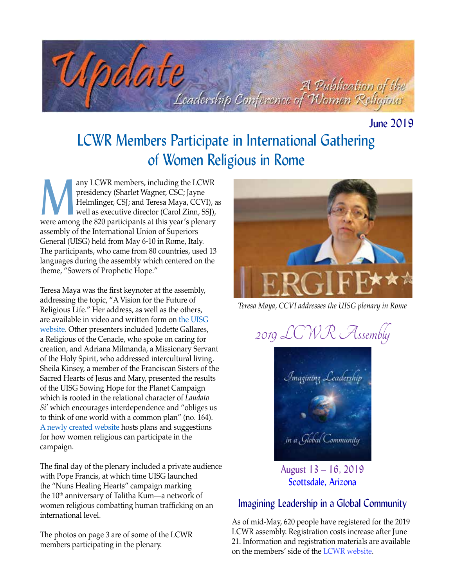

June 2019

# LCWR Members Participate in International Gathering of Women Religious in Rome

any LCWR members, including the LCWR<br>presidency (Sharlet Wagner, CSC; Jayne<br>Helmlinger, CSJ; and Teresa Maya, CCVI), a<br>well as executive director (Carol Zinn, SSJ),<br>were among the 820 participants at this year's plenary presidency (Sharlet Wagner, CSC; Jayne Helmlinger, CSJ; and Teresa Maya, CCVI), as well as executive director (Carol Zinn, SSJ), were among the 820 participants at this year's plenary assembly of the International Union of Superiors General (UISG) held from May 6-10 in Rome, Italy. The participants, who came from 80 countries, used 13 languages during the assembly which centered on the theme, "Sowers of Prophetic Hope."

Teresa Maya was the first keynoter at the assembly, addressing the topic, "A Vision for the Future of Religious Life." Her address, as well as the others, are available in video and written form on [the UISG](http://www.internationalunionsuperiorsgeneral.org/uisgplenary2019/)  [website.](http://www.internationalunionsuperiorsgeneral.org/uisgplenary2019/) Other presenters included Judette Gallares, a Religious of the Cenacle, who spoke on caring for creation, and Adriana Milmanda, a Missionary Servant of the Holy Spirit, who addressed intercultural living. Sheila Kinsey, a member of the Franciscan Sisters of the Sacred Hearts of Jesus and Mary, presented the results of the UISG Sowing Hope for the Planet Campaign which **is** rooted in the relational character of *Laudato Si'* which encourages interdependence and "obliges us to think of one world with a common plan" (no. 164). [A newly created website](https://www.sowinghopefortheplanet.org/) hosts plans and suggestions for how women religious can participate in the campaign.

The final day of the plenary included a private audience with Pope Francis, at which time UISG launched the "Nuns Healing Hearts" campaign marking the 10th anniversary of Talitha Kum—a network of women religious combatting human trafficking on an international level.

The photos on page 3 are of some of the LCWR members participating in the plenary.



*Teresa Maya, CCVI addresses the UISG plenary in Rome*

2019 LCWR Assembly Imagining Leadership in a Global Community August 13 – 16, 2019

Scottsdale, Arizona

### Imagining Leadership in a Global Community

As of mid-May, 620 people have registered for the 2019 LCWR assembly. Registration costs increase after June 21. Information and registration materials are available on the members' side of the [LCWR website.](https://lcwr.org)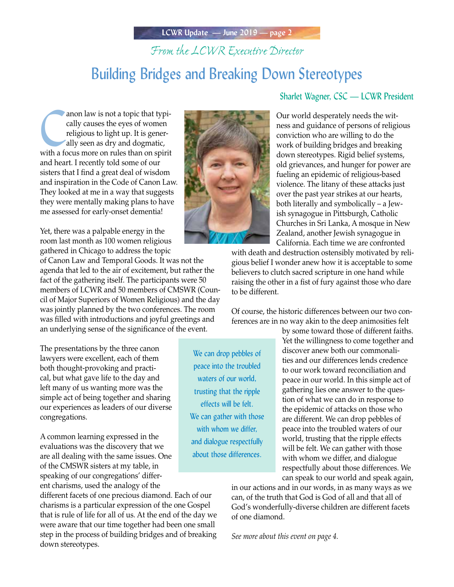# *From the LCWR Executive Director*

# Building Bridges and Breaking Down Stereotypes

anon law is not a topic that typically causes the eyes of women<br>religious to light up. It is generally seen as dry and dogmatic,<br>with a focus more on rules than on spirit anon law is not a topic that typically causes the eyes of women religious to light up. It is generally seen as dry and dogmatic, and heart. I recently told some of our sisters that I find a great deal of wisdom and inspiration in the Code of Canon Law. They looked at me in a way that suggests they were mentally making plans to have me assessed for early-onset dementia!

Yet, there was a palpable energy in the room last month as 100 women religious gathered in Chicago to address the topic

of Canon Law and Temporal Goods. It was not the agenda that led to the air of excitement, but rather the fact of the gathering itself. The participants were 50 members of LCWR and 50 members of CMSWR (Council of Major Superiors of Women Religious) and the day was jointly planned by the two conferences. The room was filled with introductions and joyful greetings and an underlying sense of the significance of the event.

The presentations by the three canon lawyers were excellent, each of them both thought-provoking and practical, but what gave life to the day and left many of us wanting more was the simple act of being together and sharing our experiences as leaders of our diverse congregations.

A common learning expressed in the evaluations was the discovery that we are all dealing with the same issues. One of the CMSWR sisters at my table, in speaking of our congregations' different charisms, used the analogy of the

different facets of one precious diamond. Each of our charisms is a particular expression of the one Gospel that is rule of life for all of us. At the end of the day we were aware that our time together had been one small step in the process of building bridges and of breaking down stereotypes.



Sharlet Wagner, CSC — LCWR President

Our world desperately needs the witness and guidance of persons of religious conviction who are willing to do the work of building bridges and breaking down stereotypes. Rigid belief systems, old grievances, and hunger for power are fueling an epidemic of religious-based violence. The litany of these attacks just over the past year strikes at our hearts, both literally and symbolically – a Jewish synagogue in Pittsburgh, Catholic Churches in Sri Lanka, A mosque in New Zealand, another Jewish synagogue in California. Each time we are confronted

with death and destruction ostensibly motivated by religious belief I wonder anew how it is acceptable to some believers to clutch sacred scripture in one hand while raising the other in a fist of fury against those who dare to be different.

Of course, the historic differences between our two conferences are in no way akin to the deep animosities felt

We can drop pebbles of peace into the troubled waters of our world, trusting that the ripple effects will be felt. We can gather with those with whom we differ, and dialogue respectfully about those differences.

by some toward those of different faiths. Yet the willingness to come together and discover anew both our commonalities and our differences lends credence to our work toward reconciliation and peace in our world. In this simple act of gathering lies one answer to the question of what we can do in response to the epidemic of attacks on those who are different. We can drop pebbles of peace into the troubled waters of our world, trusting that the ripple effects will be felt. We can gather with those with whom we differ, and dialogue respectfully about those differences. We can speak to our world and speak again,

in our actions and in our words, in as many ways as we can, of the truth that God is God of all and that all of God's wonderfully-diverse children are different facets of one diamond.

*See more about this event on page 4.*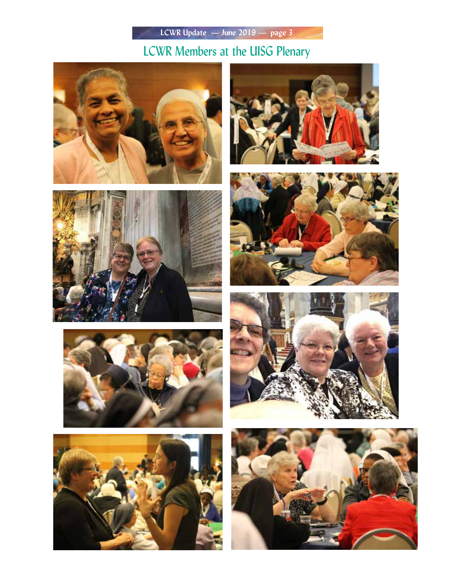LCWR Members at the UISG Plenary















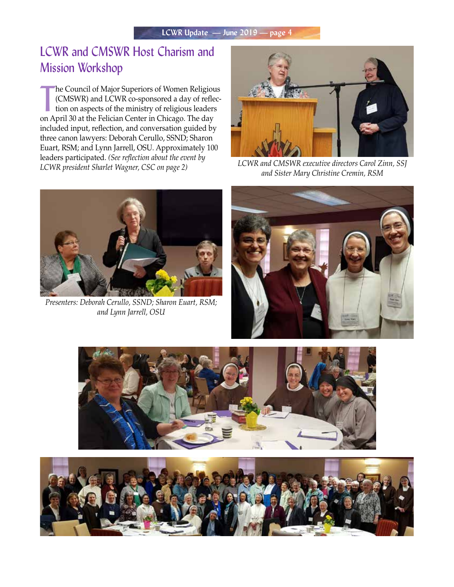# LCWR and CMSWR Host Charism and Mission Workshop

The Council of Major Superiors of Women Religiou (CMSWR) and LCWR co-sponsored a day of refle<br>tion on aspects of the ministry of religious leaders<br>on April 30 at the Felician Center in Chicago. The day he Council of Major Superiors of Women Religious (CMSWR) and LCWR co-sponsored a day of reflection on aspects of the ministry of religious leaders included input, reflection, and conversation guided by three canon lawyers: Deborah Cerullo, SSND; Sharon Euart, RSM; and Lynn Jarrell, OSU. Approximately 100 leaders participated. *(See reflection about the event by LCWR president Sharlet Wagner, CSC on page 2) LCWR and CMSWR executive directors Carol Zinn, SSJ* 



*and Sister Mary Christine Cremin, RSM* 



*Presenters: Deborah Cerullo, SSND; Sharon Euart, RSM; and Lynn Jarrell, OSU*





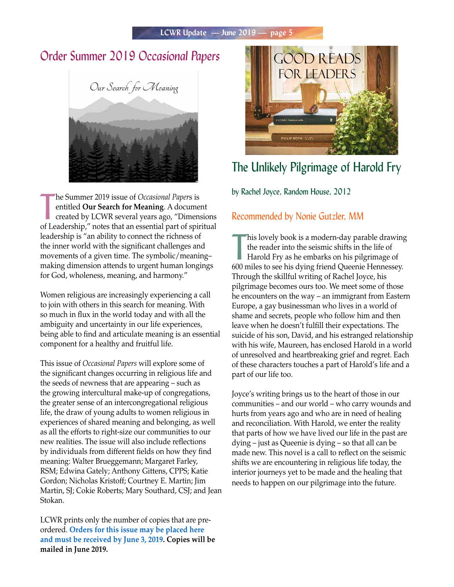### **Order Summer 2019 Occasional Papers GOOD READS**



The Summer 2019 issue of *Occasional Papers* is<br>
entitled **Our Search for Meaning**. A document<br>
created by LCWR several years ago, "Dimensions<br>
of Leadership," notes that an essential part of spiritual he Summer 2019 issue of *Occasional Paper*s is entitled **Our Search for Meaning**. A document created by LCWR several years ago, "Dimensions leadership is "an ability to connect the richness of the inner world with the significant challenges and movements of a given time. The symbolic/meaning– making dimension attends to urgent human longings for God, wholeness, meaning, and harmony."

Women religious are increasingly experiencing a call to join with others in this search for meaning. With so much in flux in the world today and with all the ambiguity and uncertainty in our life experiences, being able to find and articulate meaning is an essential component for a healthy and fruitful life.

This issue of *Occasional Papers* will explore some of the significant changes occurring in religious life and the seeds of newness that are appearing – such as the growing intercultural make-up of congregations, the greater sense of an intercongregational religious life, the draw of young adults to women religious in experiences of shared meaning and belonging, as well as all the efforts to right-size our communities to our new realities. The issue will also include reflections by individuals from different fields on how they find meaning: Walter Brueggemann; Margaret Farley, RSM; Edwina Gately; Anthony Gittens, CPPS; Katie Gordon; Nicholas Kristoff; Courtney E. Martin; Jim Martin, SJ; Cokie Roberts; Mary Southard, CSJ; and Jean Stokan.

LCWR prints only the number of copies that are preordered. **[Orders for this issue may be placed here](https://lcwr.org/item/occasional-papers-summer-2019)  [and must be received by June 3, 2019.](https://lcwr.org/item/occasional-papers-summer-2019) Copies will be mailed in June 2019.**



# The Unlikely Pilgrimage of Harold Fry

by Rachel Joyce, Random House, 2012

### Recommended by Nonie Gutzler, MM

his lovely book is a modern-day parable drawing<br>the reader into the seismic shifts in the life of<br>Harold Fry as he embarks on his pilgrimage of<br>600 miles to see his dying friend Queenie Hennessey. his lovely book is a modern-day parable drawing the reader into the seismic shifts in the life of Harold Fry as he embarks on his pilgrimage of Through the skillful writing of Rachel Joyce, his pilgrimage becomes ours too. We meet some of those he encounters on the way – an immigrant from Eastern Europe, a gay businessman who lives in a world of shame and secrets, people who follow him and then leave when he doesn't fulfill their expectations. The suicide of his son, David, and his estranged relationship with his wife, Maureen, has enclosed Harold in a world of unresolved and heartbreaking grief and regret. Each of these characters touches a part of Harold's life and a part of our life too.

Joyce's writing brings us to the heart of those in our communities – and our world – who carry wounds and hurts from years ago and who are in need of healing and reconciliation. With Harold, we enter the reality that parts of how we have lived our life in the past are dying – just as Queenie is dying – so that all can be made new. This novel is a call to reflect on the seismic shifts we are encountering in religious life today, the interior journeys yet to be made and the healing that needs to happen on our pilgrimage into the future.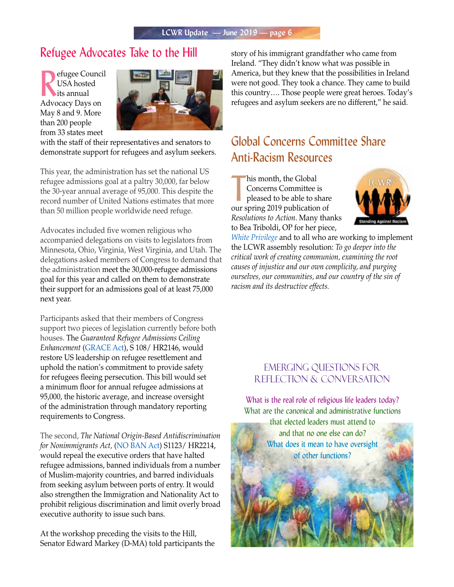### Refugee Advocates Take to the Hill

Pefugee Council<br>
USA hosted<br>
its annual<br>
Advocacy Days on efugee Council USA hosted its annual May 8 and 9. More than 200 people from 33 states meet



with the staff of their representatives and senators to demonstrate support for refugees and asylum seekers.

This year, the administration has set the national US refugee admissions goal at a paltry 30,000, far below the 30-year annual average of 95,000. This despite the record number of United Nations estimates that more than 50 million people worldwide need refuge.

Advocates included five women religious who accompanied delegations on visits to legislators from Minnesota, Ohio, Virginia, West Virginia, and Utah. The delegations asked members of Congress to demand that the administration meet the 30,000-refugee admissions goal for this year and called on them to demonstrate their support for an admissions goal of at least 75,000 next year.

Participants asked that their members of Congress support two pieces of legislation currently before both houses. The *Guaranteed Refugee Admissions Ceiling Enhancement* ([GRACE Act](http://r20.rs6.net/tn.jsp?f=001r9myLYZKyZbGeuGbDCsgT-TWGZf_X_5OLV5FYw68UxgzP6mjckKbj-ITX0Q8woqXvDettPkTvFt3tpLT0wYIKX6p8llW2-lrpu3eTXzO7WWO18yDu9tUemRXPdIi6t4HHJkVCm36ajh9WqGqtLOURb18NBrx_Y0hpX2hDu5lHXHAIKBh36M2ogiPcUWT6e7V5YjnAnxjQfsUj95NRRL7aQ==&c=0TnpL94UxVRuiTDeUX9sYkPOzjV7vqUiv6kPf7gNDwydy7dWOkW7pA==&ch=las-EPC_28aL56RtwDGCthT7lJ36UDAWfTZ8KO-glmYSCxQHz3K82g==)), S 108/ HR2146, would restore US leadership on refugee resettlement and uphold the nation's commitment to provide safety for refugees fleeing persecution. This bill would set a minimum floor for annual refugee admissions at 95,000, the historic average, and increase oversight of the administration through mandatory reporting requirements to Congress.

The second, *The National Origin-Based Antidiscrimination for Nonimmigrants Act,* [\(NO BAN Act](https://www.govtrack.us/congress/bills/116/hr2214)) S1123/ HR2214, would repeal the executive orders that have halted refugee admissions, banned individuals from a number of Muslim-majority countries, and barred individuals from seeking asylum between ports of entry. It would also strengthen the Immigration and Nationality Act to prohibit religious discrimination and limit overly broad executive authority to issue such bans.

At the workshop preceding the visits to the Hill, Senator Edward Markey (D-MA) told participants the story of his immigrant grandfather who came from Ireland. "They didn't know what was possible in America, but they knew that the possibilities in Ireland were not good. They took a chance. They came to build this country…. Those people were great heroes. Today's refugees and asylum seekers are no different," he said.

# Global Concerns Committee Share Anti-Racism Resources

his month, the Global<br>
Concerns Committee is<br>
pleased to be able to share<br>
our spring 2019 publication of his month, the Global Concerns Committee is pleased to be able to share *Resolutions to Action*. Many thanks to Bea Triboldi, OP for her piece,



*[White Privilege](https://lcwr.org/sites/default/files/publications/files/rta2-19.pdf)* and to all who are working to implement the LCWR assembly resolution: *To go deeper into the critical work of creating communion, examining the root causes of injustice and our own complicity, and purging ourselves, our communities, and our country of the sin of racism and its destructive effects.*

### Emerging Questions for Reflection & Conversation

What is the real role of religious life leaders today? What are the canonical and administrative functions

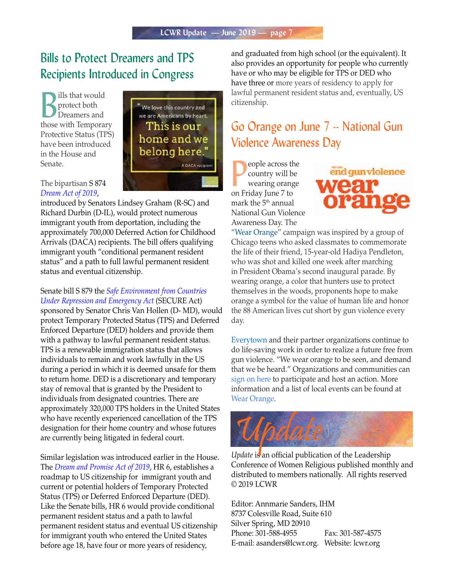### Bills to Protect Dreamers and TPS Recipients Introduced in Congress

**B**<br> **B**<br>
protect both<br>
protect both<br>
those with Temporary ills that would protect both Dreamers and Protective Status (TPS) have been introduced in the House and Senate.



"We love this country and we are Americans by heart. This is our home and we belong here." A DACA recipien

introduced by Senators Lindsey Graham (R-SC) and Richard Durbin (D-IL), would protect numerous immigrant youth from deportation, including the approximately 700,000 Deferred Action for Childhood Arrivals (DACA) recipients. The bill offers qualifying immigrant youth "conditional permanent resident status" and a path to full lawful permanent resident status and eventual citizenship.

Senate bill S 879 the *[Safe Environment from Countries](https://www.govtrack.us/congress/bills/116/s879)  [Under Repression and Emergency Act](https://www.govtrack.us/congress/bills/116/s879)* (SECURE Act) sponsored by Senator Chris Van Hollen (D- MD), would protect Temporary Protected Status (TPS) and Deferred Enforced Departure (DED) holders and provide them with a pathway to lawful permanent resident status. TPS is a renewable immigration status that allows individuals to remain and work lawfully in the US during a period in which it is deemed unsafe for them to return home. DED is a discretionary and temporary stay of removal that is granted by the President to individuals from designated countries. There are approximately 320,000 TPS holders in the United States who have recently experienced cancellation of the TPS designation for their home country and whose futures are currently being litigated in federal court.

Similar legislation was introduced earlier in the House. The *[Dream and Promise Act of 2019](https://www.govtrack.us/congress/bills/116/hr6)*, HR 6, establishes a roadmap to US citizenship for immigrant youth and current or potential holders of Temporary Protected Status (TPS) or Deferred Enforced Departure (DED). Like the Senate bills, HR 6 would provide conditional permanent resident status and a path to lawful permanent resident status and eventual US citizenship for immigrant youth who entered the United States before age 18, have four or more years of residency,

and graduated from high school (or the equivalent). It also provides an opportunity for people who currently have or who may be eligible for TPS or DED who have three or more years of residency to apply for lawful permanent resident status and, eventually, US citizenship.

### Go Orange on June 7 -- National Gun Violence Awareness Day

**P**eople across the country will be wearing orang<br>on Friday June 7 to eople across the country will be wearing orange mark the 5<sup>th</sup> annual National Gun Violence Awareness Day. The



"[Wear Orange"](http://wearorange.org/) campaign was inspired by a group of Chicago teens who asked classmates to commemorate the life of their friend, 15-year-old Hadiya Pendleton, who was shot and killed one week after marching in President Obama's second inaugural parade. By wearing orange, a color that hunters use to protect themselves in the woods, proponents hope to make orange a symbol for the value of human life and honor the 88 American lives cut short by gun violence every day.

[Everytown](https://everytown.org/) and their partner organizations continue to do life-saving work in order to realize a future free from gun violence. "We wear orange to be seen, and demand that we be heard." Organizations and communities can [sign on here](https://default.salsalabs.org/Tc5122aa9-c212-4d97-a7c2-50f9fe997474/f4fe8402-1b13-4c2f-95d0-735ed024cfc7) to participate and host an action. More information and a list of local events can be found at [Wear Orange.](https://default.salsalabs.org/T8d321e0d-58f6-4e56-8e57-cc5f9f498411/f4fe8402-1b13-4c2f-95d0-735ed024cfc7)



*Update* is an official publication of the Leadership Conference of Women Religious published monthly and distributed to members nationally. All rights reserved © 2019 LCWR

Editor: Annmarie Sanders, IHM 8737 Colesville Road, Suite 610 Silver Spring, MD 20910 Phone: 301-588-4955 Fax: 301-587-4575 E-mail: asanders@lcwr.org. Website: lcwr.org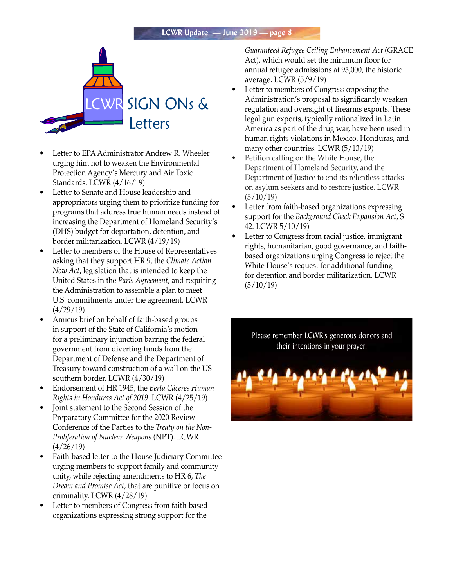

- Letter to EPA Administrator Andrew R. Wheeler urging him not to weaken the Environmental Protection Agency's Mercury and Air Toxic Standards. LCWR (4/16/19)
- Letter to Senate and House leadership and appropriators urging them to prioritize funding for programs that address true human needs instead of increasing the Department of Homeland Security's (DHS) budget for deportation, detention, and border militarization. LCWR (4/19/19)
- Letter to members of the House of Representatives asking that they support HR 9, the *Climate Action Now Act*, legislation that is intended to keep the United States in the *Paris Agreement*, and requiring the Administration to assemble a plan to meet U.S. commitments under the agreement. LCWR (4/29/19)
- Amicus brief on behalf of faith-based groups in support of the State of California's motion for a preliminary injunction barring the federal government from diverting funds from the Department of Defense and the Department of Treasury toward construction of a wall on the US southern border. LCWR (4/30/19)
- Endorsement of HR 1945, the *Berta Cáceres Human Rights in Honduras Act of 2019*. LCWR (4/25/19)
- Joint statement to the Second Session of the Preparatory Committee for the 2020 Review Conference of the Parties to the *Treaty on the Non-Proliferation of Nuclear Weapons* (NPT). LCWR (4/26/19)
- Faith-based letter to the House Judiciary Committee urging members to support family and community unity, while rejecting amendments to HR 6, *The Dream and Promise Act,* that are punitive or focus on criminality. LCWR (4/28/19)
- Letter to members of Congress from faith-based organizations expressing strong support for the

*Guaranteed Refugee Ceiling Enhancement Act* (GRACE Act), which would set the minimum floor for annual refugee admissions at 95,000, the historic average. LCWR (5/9/19)

- Letter to members of Congress opposing the Administration's proposal to significantly weaken regulation and oversight of firearms exports. These legal gun exports, typically rationalized in Latin America as part of the drug war, have been used in human rights violations in Mexico, Honduras, and many other countries. LCWR (5/13/19)
- Petition calling on the White House, the Department of Homeland Security, and the Department of Justice to end its relentless attacks on asylum seekers and to restore justice. LCWR (5/10/19)
- Letter from faith-based organizations expressing support for the *Background Check Expansion Act*, S 42. LCWR 5/10/19)
- Letter to Congress from racial justice, immigrant rights, humanitarian, good governance, and faithbased organizations urging Congress to reject the White House's request for additional funding for detention and border militarization. LCWR (5/10/19)

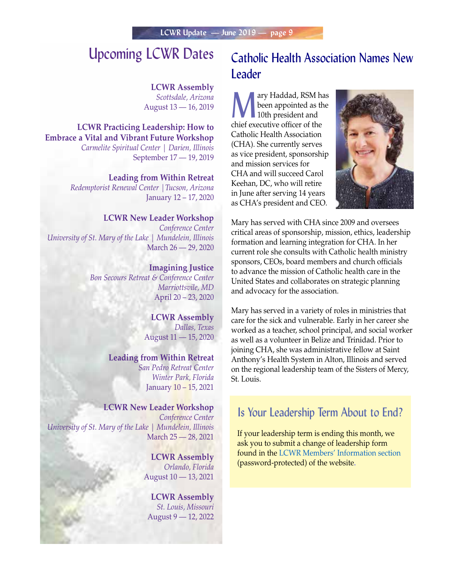# Upcoming LCWR Dates

#### **LCWR Assembly** *Scottsdale, Arizona*

August 13 — 16, 2019

**LCWR Practicing Leadership: How to Embrace a Vital and Vibrant Future Workshop** *Carmelite Spiritual Center | Darien, Illinois* September 17 — 19, 2019

> **Leading from Within Retreat** *Redemptorist Renewal Center |Tucson, Arizona* January 12 – 17, 2020

#### **LCWR New Leader Workshop**

*Conference Center University of St. Mary of the Lake | Mundelein, Illinois*  March 26 — 29, 2020

> **Imagining Justice** *Bon Secours Retreat & Conference Center Marriottsvile, MD* April 20 – 23, 2020

> > **LCWR Assembly** *Dallas, Texas* August 11 — 15, 2020

#### **Leading from Within Retreat** *San Pedro Retreat Center*

*Winter Park, Florida* January 10 – 15, 2021

#### **LCWR New Leader Workshop**

*Conference Center University of St. Mary of the Lake | Mundelein, Illinois*  March 25 — 28, 2021

> **LCWR Assembly** *Orlando, Florida* August 10 — 13, 2021

**LCWR Assembly** *St. Louis, Missouri* August 9 — 12, 2022

### Catholic Health Association Names New Leader

ary Haddad, RSM has<br>been appointed as the<br>10th president and<br>this meantime officer of the been appointed as the 10th president and chief executive officer of the Catholic Health Association (CHA). She currently serves as vice president, sponsorship and mission services for CHA and will succeed Carol Keehan, DC, who will retire in June after serving 14 years as CHA's president and CEO.



Mary has served with CHA since 2009 and oversees critical areas of sponsorship, mission, ethics, leadership formation and learning integration for CHA. In her current role she consults with Catholic health ministry sponsors, CEOs, board members and church officials to advance the mission of Catholic health care in the United States and collaborates on strategic planning and advocacy for the association.

Mary has served in a variety of roles in ministries that care for the sick and vulnerable. Early in her career she worked as a teacher, school principal, and social worker as well as a volunteer in Belize and Trinidad. Prior to joining CHA, she was administrative fellow at Saint Anthony's Health System in Alton, Illinois and served on the regional leadership team of the Sisters of Mercy, St. Louis.

### Is Your Leadership Term About to End?

If your leadership term is ending this month, we ask you to submit a change of leadership form found in the [LCWR Members' Information section](https://lcwr.org/members/lcwr-membership-information) (password-protected) of the website.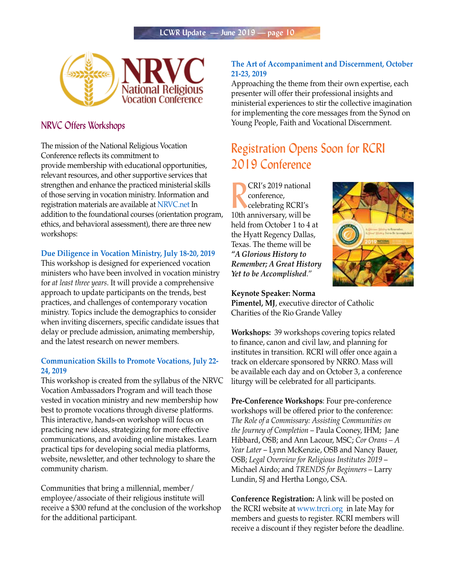

### NRVC Offers Workshops

The mission of the National Religious Vocation Conference reflects its commitment to provide membership with educational opportunities, relevant resources, and other supportive services that strengthen and enhance the practiced ministerial skills of those serving in vocation ministry. Information and registration materials are available at [NRVC.net](https://nrvc.net/home_page) In addition to the foundational courses (orientation program, ethics, and behavioral assessment), there are three new workshops:

#### **[Due Diligence in Vocation Ministry, July 18-20, 2019](https://nrvc.net/292/publication/9454/article/18602-due-diligence-in-vocation-ministry-workshop)**

This workshop is designed for experienced vocation ministers who have been involved in vocation ministry for *at least three years*. It will provide a comprehensive approach to update participants on the trends, best practices, and challenges of contemporary vocation ministry. Topics include the demographics to consider when inviting discerners, specific candidate issues that delay or preclude admission, animating membership, and the latest research on newer members.

#### **[Communication Skills to Promote Vocations, July 22-](https://nrvc.net/292/publication/9454/article/18605-communication-skills-to-promote-vocations-workshop) [24, 2019](https://nrvc.net/292/publication/9454/article/18605-communication-skills-to-promote-vocations-workshop)**

This workshop is created from the syllabus of the NRVC Vocation Ambassadors Program and will teach those vested in vocation ministry and new membership how best to promote vocations through diverse platforms. This interactive, hands-on workshop will focus on practicing new ideas, strategizing for more effective communications, and avoiding online mistakes. Learn practical tips for developing social media platforms, website, newsletter, and other technology to share the community charism.

Communities that bring a millennial, member/ employee/associate of their religious institute will receive a \$300 refund at the conclusion of the workshop for the additional participant.

#### **[The Art of Accompaniment and Discernment, October](https://nrvc.net/274/publication/4171/article/18620-the-art-of-accompaniment-and-discernment-workshop)  [21-23, 2019](https://nrvc.net/274/publication/4171/article/18620-the-art-of-accompaniment-and-discernment-workshop)**

Approaching the theme from their own expertise, each presenter will offer their professional insights and ministerial experiences to stir the collective imagination for implementing the core messages from the Synod on Young People, Faith and Vocational Discernment.

# Registration Opens Soon for RCRI 2019 Conference

**CRI's 2019 national**<br>
conference,<br>
celebrating RCRI's<br>
10th anniversary, will be CRI's 2019 national conference, celebrating RCRI's held from October 1 to 4 at the Hyatt Regency Dallas, Texas. The theme will be *"A Glorious History to Remember; A Great History Yet to be Accomplished*."



**Keynote Speaker: Norma Pimentel, MJ**, executive director of Catholic Charities of the Rio Grande Valley

**Workshops:** 39 workshops covering topics related to finance, canon and civil law, and planning for institutes in transition. RCRI will offer once again a track on eldercare sponsored by NRRO. Mass will be available each day and on October 3, a conference liturgy will be celebrated for all participants.

**Pre-Conference Workshops**: Four pre-conference workshops will be offered prior to the conference: *The Role of a Commissary: Assisting Communities on the Journey of Completion* – Paula Cooney, IHM; Jane Hibbard, OSB; and Ann Lacour, MSC; *Cor Orans – A Year Later* – Lynn McKenzie, OSB and Nancy Bauer, OSB; *Legal Overview for Religious Institutes 2019* – Michael Airdo; and *TRENDS for Beginners* – Larry Lundin, SJ and Hertha Longo, CSA.

**Conference Registration:** A link will be posted on the RCRI website at [www.trcri.org](http://www.trcri.org) in late May for members and guests to register. RCRI members will receive a discount if they register before the deadline.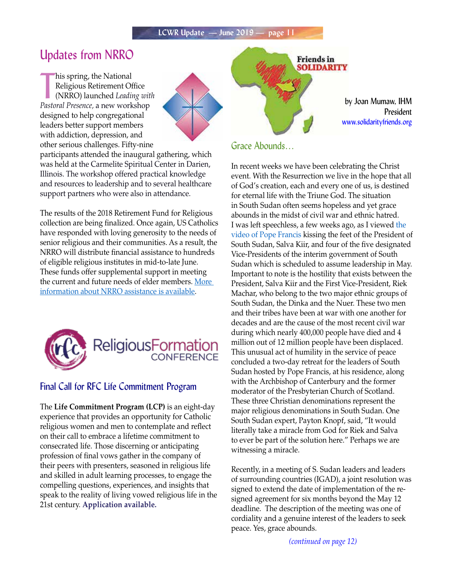### Updates from NRRO

his spring, the National<br>
Religious Retirement Office<br>
(NRRO) launched *Leading wit.*<br> *Pastoral Presence*, a new workshop his spring, the National Religious Retirement Office (NRRO) launched *Leading with*  designed to help congregational leaders better support members with addiction, depression, and other serious challenges. Fifty-nine



participants attended the inaugural gathering, which was held at the Carmelite Spiritual Center in Darien, Illinois. The workshop offered practical knowledge and resources to leadership and to several healthcare support partners who were also in attendance.

The results of the 2018 Retirement Fund for Religious collection are being finalized. Once again, US Catholics have responded with loving generosity to the needs of senior religious and their communities. As a result, the NRRO will distribute financial assistance to hundreds of eligible religious institutes in mid-to-late June. These funds offer supplemental support in meeting the current and future needs of elder members. [More](http://www.usccb.org/about/national-religious-retirement-office/index.cfm)  [information about NRRO assistance is available.](http://www.usccb.org/about/national-religious-retirement-office/index.cfm)



#### Final Call for RFC Life Commitment Program

The **Life Commitment Program (LCP)** is an eight-day experience that provides an opportunity for Catholic religious women and men to contemplate and reflect on their call to embrace a lifetime commitment to consecrated life. Those discerning or anticipating profession of final vows gather in the company of their peers with presenters, seasoned in religious life and skilled in adult learning processes, to engage the compelling questions, experiences, and insights that speak to the reality of living vowed religious life in the 21st century. **[Application](https://www.relforcon.org/programs/life-commitment) available.**

#### Grace Abounds…

In recent weeks we have been celebrating the Christ event. With the Resurrection we live in the hope that all of God's creation, each and every one of us, is destined for eternal life with the Triune God. The situation in South Sudan often seems hopeless and yet grace abounds in the midst of civil war and ethnic hatred. I was left speechless, a few weeks ago, as I viewed [the](https://www.romereports.com/2019/04/11/impactante-gesto-del-papa-besa-los-pies-de-los-lideres-enemigos-de-sudan-del-sur/)  [video of Pope Francis](https://www.romereports.com/2019/04/11/impactante-gesto-del-papa-besa-los-pies-de-los-lideres-enemigos-de-sudan-del-sur/) kissing the feet of the President of South Sudan, Salva Kiir, and four of the five designated Vice-Presidents of the interim government of South Sudan which is scheduled to assume leadership in May. Important to note is the hostility that exists between the President, Salva Kiir and the First Vice-President, Riek Machar, who belong to the two major ethnic groups of South Sudan, the Dinka and the Nuer. These two men and their tribes have been at war with one another for decades and are the cause of the most recent civil war during which nearly 400,000 people have died and 4 million out of 12 million people have been displaced. This unusual act of humility in the service of peace concluded a two-day retreat for the leaders of South Sudan hosted by Pope Francis, at his residence, along with the Archbishop of Canterbury and the former moderator of the Presbyterian Church of Scotland. These three Christian denominations represent the major religious denominations in South Sudan. One South Sudan expert, Payton Knopf, said, "It would literally take a miracle from God for Riek and Salva to ever be part of the solution here." Perhaps we are witnessing a miracle.

**Friends** in **SOLIDARITY** 

by Joan Mumaw, IHM

www.solidarityfriends.org

President

Recently, in a meeting of S. Sudan leaders and leaders of surrounding countries (IGAD), a joint resolution was signed to extend the date of implementation of the resigned agreement for six months beyond the May 12 deadline. The description of the meeting was one of cordiality and a genuine interest of the leaders to seek peace. Yes, grace abounds.

*(continued on page 12)*